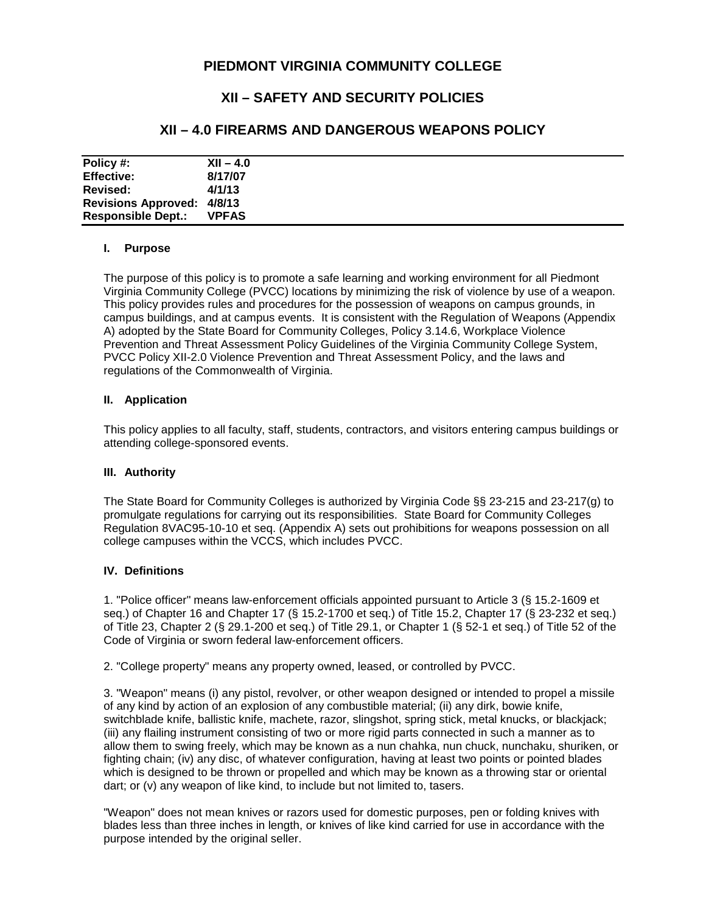# **PIEDMONT VIRGINIA COMMUNITY COLLEGE**

# **XII – SAFETY AND SECURITY POLICIES**

## **XII – 4.0 FIREARMS AND DANGEROUS WEAPONS POLICY**

| Policy #:                         | $XII - 4.0$  |
|-----------------------------------|--------------|
| <b>Effective:</b>                 | 8/17/07      |
| Revised:                          | 4/1/13       |
| <b>Revisions Approved: 4/8/13</b> |              |
| <b>Responsible Dept.:</b>         | <b>VPFAS</b> |

#### **I. Purpose**

The purpose of this policy is to promote a safe learning and working environment for all Piedmont Virginia Community College (PVCC) locations by minimizing the risk of violence by use of a weapon. This policy provides rules and procedures for the possession of weapons on campus grounds, in campus buildings, and at campus events. It is consistent with the Regulation of Weapons (Appendix A) adopted by the State Board for Community Colleges, Policy 3.14.6, Workplace Violence Prevention and Threat Assessment Policy Guidelines of the Virginia Community College System, PVCC Policy XII-2.0 Violence Prevention and Threat Assessment Policy, and the laws and regulations of the Commonwealth of Virginia.

#### **II. Application**

This policy applies to all faculty, staff, students, contractors, and visitors entering campus buildings or attending college-sponsored events.

### **III. Authority**

The State Board for Community Colleges is authorized by Virginia Code §§ 23-215 and 23-217(g) to promulgate regulations for carrying out its responsibilities. State Board for Community Colleges Regulation 8VAC95-10-10 et seq. (Appendix A) sets out prohibitions for weapons possession on all college campuses within the VCCS, which includes PVCC.

### **IV. Definitions**

1. "Police officer" means law-enforcement officials appointed pursuant to Article 3 (§ 15.2-1609 et seq.) of Chapter 16 and Chapter 17 (§ 15.2-1700 et seq.) of Title 15.2, Chapter 17 (§ 23-232 et seq.) of Title 23, Chapter 2 (§ 29.1-200 et seq.) of Title 29.1, or Chapter 1 (§ 52-1 et seq.) of Title 52 of the Code of Virginia or sworn federal law-enforcement officers.

2. "College property" means any property owned, leased, or controlled by PVCC.

3. "Weapon" means (i) any pistol, revolver, or other weapon designed or intended to propel a missile of any kind by action of an explosion of any combustible material; (ii) any dirk, bowie knife, switchblade knife, ballistic knife, machete, razor, slingshot, spring stick, metal knucks, or blackjack; (iii) any flailing instrument consisting of two or more rigid parts connected in such a manner as to allow them to swing freely, which may be known as a nun chahka, nun chuck, nunchaku, shuriken, or fighting chain; (iv) any disc, of whatever configuration, having at least two points or pointed blades which is designed to be thrown or propelled and which may be known as a throwing star or oriental dart; or (v) any weapon of like kind, to include but not limited to, tasers.

"Weapon" does not mean knives or razors used for domestic purposes, pen or folding knives with blades less than three inches in length, or knives of like kind carried for use in accordance with the purpose intended by the original seller.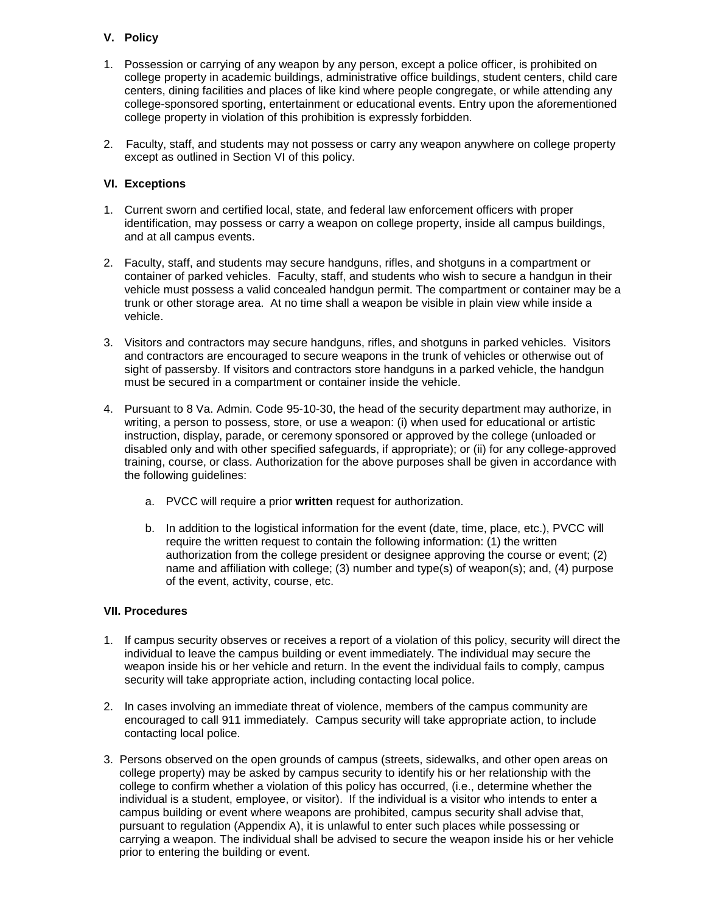### **V. Policy**

- 1. Possession or carrying of any weapon by any person, except a police officer, is prohibited on college property in academic buildings, administrative office buildings, student centers, child care centers, dining facilities and places of like kind where people congregate, or while attending any college-sponsored sporting, entertainment or educational events. Entry upon the aforementioned college property in violation of this prohibition is expressly forbidden.
- 2. Faculty, staff, and students may not possess or carry any weapon anywhere on college property except as outlined in Section VI of this policy.

## **VI. Exceptions**

- 1. Current sworn and certified local, state, and federal law enforcement officers with proper identification, may possess or carry a weapon on college property, inside all campus buildings, and at all campus events.
- 2. Faculty, staff, and students may secure handguns, rifles, and shotguns in a compartment or container of parked vehicles. Faculty, staff, and students who wish to secure a handgun in their vehicle must possess a valid concealed handgun permit. The compartment or container may be a trunk or other storage area. At no time shall a weapon be visible in plain view while inside a vehicle.
- 3. Visitors and contractors may secure handguns, rifles, and shotguns in parked vehicles. Visitors and contractors are encouraged to secure weapons in the trunk of vehicles or otherwise out of sight of passersby. If visitors and contractors store handguns in a parked vehicle, the handgun must be secured in a compartment or container inside the vehicle.
- 4. Pursuant to 8 Va. Admin. Code 95-10-30, the head of the security department may authorize, in writing, a person to possess, store, or use a weapon: (i) when used for educational or artistic instruction, display, parade, or ceremony sponsored or approved by the college (unloaded or disabled only and with other specified safeguards, if appropriate); or (ii) for any college-approved training, course, or class. Authorization for the above purposes shall be given in accordance with the following guidelines:
	- a. PVCC will require a prior **written** request for authorization.
	- b. In addition to the logistical information for the event (date, time, place, etc.), PVCC will require the written request to contain the following information: (1) the written authorization from the college president or designee approving the course or event; (2) name and affiliation with college; (3) number and type(s) of weapon(s); and, (4) purpose of the event, activity, course, etc.

### **VII. Procedures**

- 1. If campus security observes or receives a report of a violation of this policy, security will direct the individual to leave the campus building or event immediately. The individual may secure the weapon inside his or her vehicle and return. In the event the individual fails to comply, campus security will take appropriate action, including contacting local police.
- 2. In cases involving an immediate threat of violence, members of the campus community are encouraged to call 911 immediately. Campus security will take appropriate action, to include contacting local police.
- 3. Persons observed on the open grounds of campus (streets, sidewalks, and other open areas on college property) may be asked by campus security to identify his or her relationship with the college to confirm whether a violation of this policy has occurred, (i.e., determine whether the individual is a student, employee, or visitor). If the individual is a visitor who intends to enter a campus building or event where weapons are prohibited, campus security shall advise that, pursuant to regulation (Appendix A), it is unlawful to enter such places while possessing or carrying a weapon. The individual shall be advised to secure the weapon inside his or her vehicle prior to entering the building or event.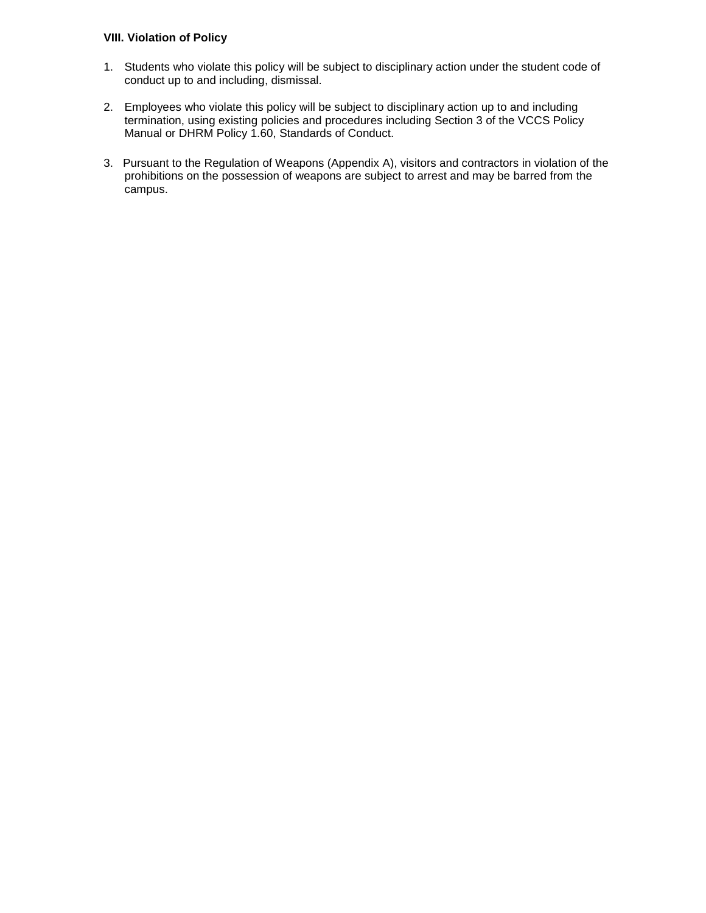#### **VIII. Violation of Policy**

- 1. Students who violate this policy will be subject to disciplinary action under the student code of conduct up to and including, dismissal.
- 2. Employees who violate this policy will be subject to disciplinary action up to and including termination, using existing policies and procedures including Section 3 of the VCCS Policy Manual or DHRM Policy 1.60, Standards of Conduct.
- 3. Pursuant to the Regulation of Weapons (Appendix A), visitors and contractors in violation of the prohibitions on the possession of weapons are subject to arrest and may be barred from the campus.